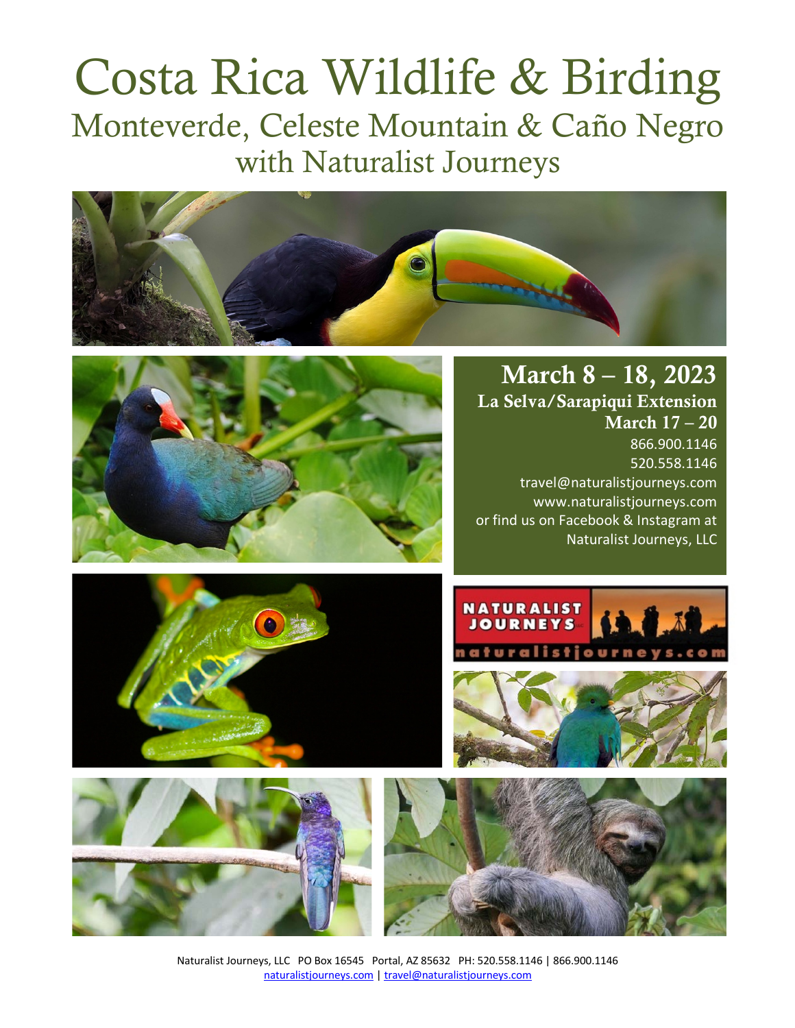# Costa Rica Wildlife & Birding Monteverde, Celeste Mountain & Caño Negro with Naturalist Journeys





March 8 – 18, 2023 La Selva/Sarapiqui Extension March 17 – 20 866.900.1146 520.558.1146 travel@naturalistjourneys.com www.naturalistjourneys.com or find us on Facebook & Instagram at Naturalist Journeys, LLC











Naturalist Journeys, LLC PO Box 16545 Portal, AZ 85632 PH: 520.558.1146 | 866.900.1146 naturalistjourneys.com | travel@naturalistjourneys.com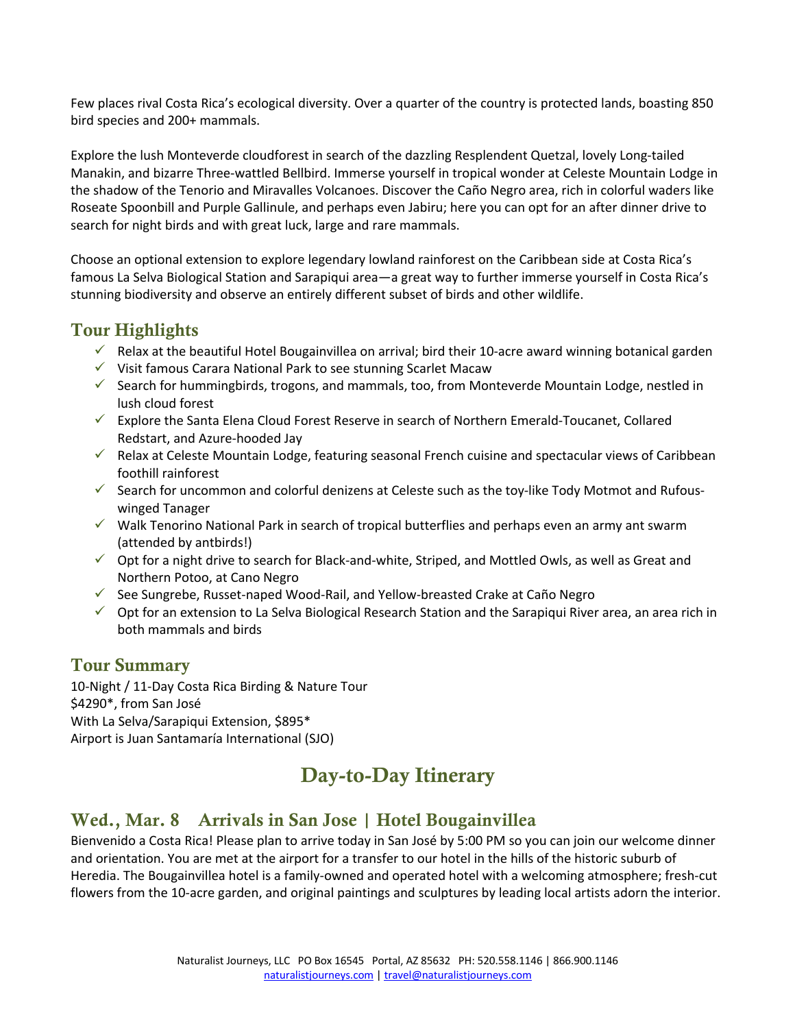Few places rival Costa Rica's ecological diversity. Over a quarter of the country is protected lands, boasting 850 bird species and 200+ mammals.

Explore the lush Monteverde cloudforest in search of the dazzling Resplendent Quetzal, lovely Long-tailed Manakin, and bizarre Three-wattled Bellbird. Immerse yourself in tropical wonder at Celeste Mountain Lodge in the shadow of the Tenorio and Miravalles Volcanoes. Discover the Caño Negro area, rich in colorful waders like Roseate Spoonbill and Purple Gallinule, and perhaps even Jabiru; here you can opt for an after dinner drive to search for night birds and with great luck, large and rare mammals.

Choose an optional extension to explore legendary lowland rainforest on the Caribbean side at Costa Rica's famous La Selva Biological Station and Sarapiqui area—a great way to further immerse yourself in Costa Rica's stunning biodiversity and observe an entirely different subset of birds and other wildlife.

#### Tour Highlights

- Elax at the beautiful Hotel Bougainvillea on arrival; bird their 10-acre award winning botanical garden
- $\checkmark$  Visit famous Carara National Park to see stunning Scarlet Macaw
- $\checkmark$  Search for hummingbirds, trogons, and mammals, too, from Monteverde Mountain Lodge, nestled in lush cloud forest
- $\checkmark$  Explore the Santa Elena Cloud Forest Reserve in search of Northern Emerald-Toucanet, Collared Redstart, and Azure-hooded Jay
- $\checkmark$  Relax at Celeste Mountain Lodge, featuring seasonal French cuisine and spectacular views of Caribbean foothill rainforest
- $\checkmark$  Search for uncommon and colorful denizens at Celeste such as the toy-like Tody Motmot and Rufouswinged Tanager
- $\checkmark$  Walk Tenorino National Park in search of tropical butterflies and perhaps even an army ant swarm (attended by antbirds!)
- $\checkmark$  Opt for a night drive to search for Black-and-white, Striped, and Mottled Owls, as well as Great and Northern Potoo, at Cano Negro
- $\checkmark$  See Sungrebe, Russet-naped Wood-Rail, and Yellow-breasted Crake at Caño Negro
- $\checkmark$  Opt for an extension to La Selva Biological Research Station and the Sarapiqui River area, an area rich in both mammals and birds

#### Tour Summary

10-Night / 11-Day Costa Rica Birding & Nature Tour \$4290\*, from San José With La Selva/Sarapiqui Extension, \$895\* Airport is Juan Santamaría International (SJO)

# Day-to-Day Itinerary

### Wed., Mar. 8 Arrivals in San Jose | Hotel Bougainvillea

Bienvenido a Costa Rica! Please plan to arrive today in San José by 5:00 PM so you can join our welcome dinner and orientation. You are met at the airport for a transfer to our hotel in the hills of the historic suburb of Heredia. The Bougainvillea hotel is a family-owned and operated hotel with a welcoming atmosphere; fresh-cut flowers from the 10-acre garden, and original paintings and sculptures by leading local artists adorn the interior.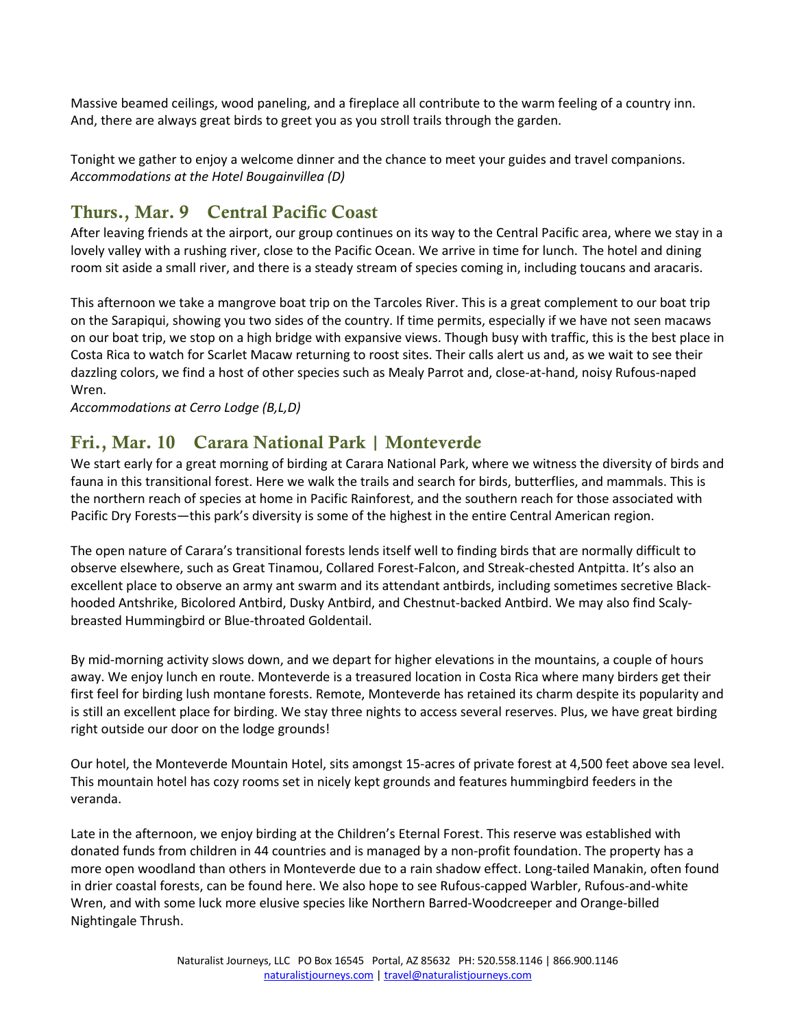Massive beamed ceilings, wood paneling, and a fireplace all contribute to the warm feeling of a country inn. And, there are always great birds to greet you as you stroll trails through the garden.

Tonight we gather to enjoy a welcome dinner and the chance to meet your guides and travel companions. *Accommodations at the Hotel Bougainvillea (D)* 

#### Thurs., Mar. 9 Central Pacific Coast

After leaving friends at the airport, our group continues on its way to the Central Pacific area, where we stay in a lovely valley with a rushing river, close to the Pacific Ocean. We arrive in time for lunch. The hotel and dining room sit aside a small river, and there is a steady stream of species coming in, including toucans and aracaris.

This afternoon we take a mangrove boat trip on the Tarcoles River. This is a great complement to our boat trip on the Sarapiqui, showing you two sides of the country. If time permits, especially if we have not seen macaws on our boat trip, we stop on a high bridge with expansive views. Though busy with traffic, this is the best place in Costa Rica to watch for Scarlet Macaw returning to roost sites. Their calls alert us and, as we wait to see their dazzling colors, we find a host of other species such as Mealy Parrot and, close-at-hand, noisy Rufous-naped Wren.

*Accommodations at Cerro Lodge (B,L,D)* 

#### Fri., Mar. 10 Carara National Park | Monteverde

We start early for a great morning of birding at Carara National Park, where we witness the diversity of birds and fauna in this transitional forest. Here we walk the trails and search for birds, butterflies, and mammals. This is the northern reach of species at home in Pacific Rainforest, and the southern reach for those associated with Pacific Dry Forests—this park's diversity is some of the highest in the entire Central American region.

The open nature of Carara's transitional forests lends itself well to finding birds that are normally difficult to observe elsewhere, such as Great Tinamou, Collared Forest-Falcon, and Streak-chested Antpitta. It's also an excellent place to observe an army ant swarm and its attendant antbirds, including sometimes secretive Blackhooded Antshrike, Bicolored Antbird, Dusky Antbird, and Chestnut-backed Antbird. We may also find Scalybreasted Hummingbird or Blue-throated Goldentail.

By mid-morning activity slows down, and we depart for higher elevations in the mountains, a couple of hours away. We enjoy lunch en route. Monteverde is a treasured location in Costa Rica where many birders get their first feel for birding lush montane forests. Remote, Monteverde has retained its charm despite its popularity and is still an excellent place for birding. We stay three nights to access several reserves. Plus, we have great birding right outside our door on the lodge grounds!

Our hotel, the Monteverde Mountain Hotel, sits amongst 15-acres of private forest at 4,500 feet above sea level. This mountain hotel has cozy rooms set in nicely kept grounds and features hummingbird feeders in the veranda.

Late in the afternoon, we enjoy birding at the Children's Eternal Forest. This reserve was established with donated funds from children in 44 countries and is managed by a non-profit foundation. The property has a more open woodland than others in Monteverde due to a rain shadow effect. Long-tailed Manakin, often found in drier coastal forests, can be found here. We also hope to see Rufous-capped Warbler, Rufous-and-white Wren, and with some luck more elusive species like Northern Barred-Woodcreeper and Orange-billed Nightingale Thrush.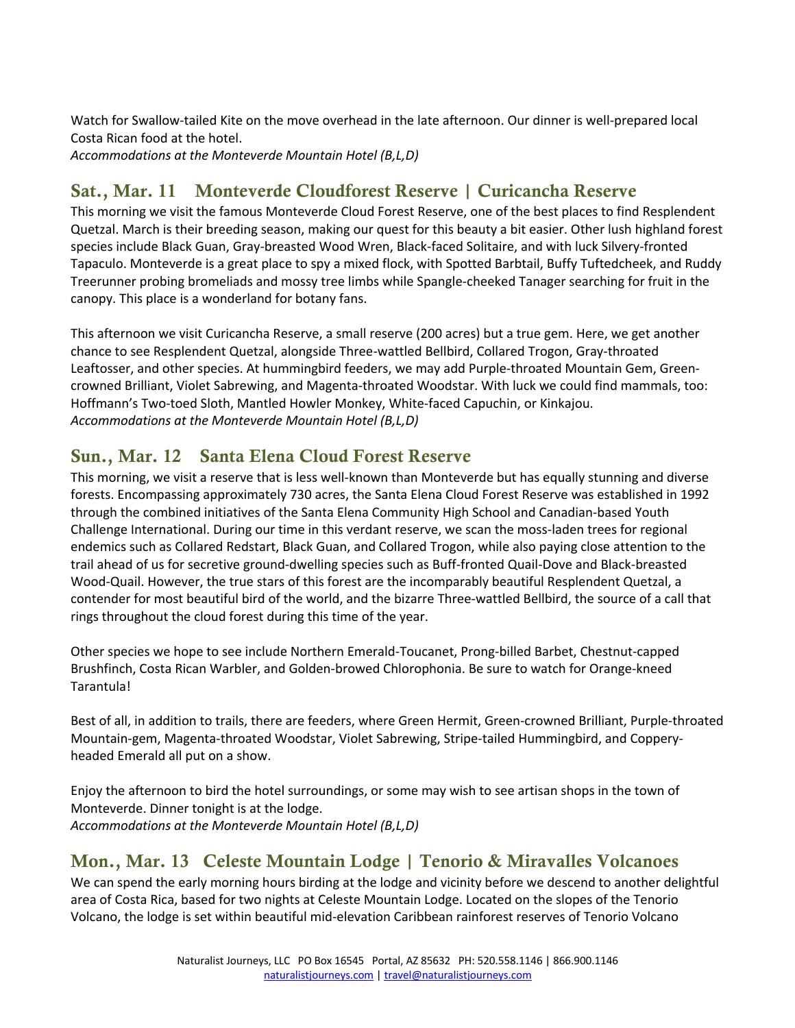Watch for Swallow-tailed Kite on the move overhead in the late afternoon. Our dinner is well-prepared local Costa Rican food at the hotel. *Accommodations at the Monteverde Mountain Hotel (B,L,D)* 

## Sat., Mar. 11 Monteverde Cloudforest Reserve | Curicancha Reserve

This morning we visit the famous Monteverde Cloud Forest Reserve, one of the best places to find Resplendent Quetzal. March is their breeding season, making our quest for this beauty a bit easier. Other lush highland forest species include Black Guan, Gray-breasted Wood Wren, Black-faced Solitaire, and with luck Silvery-fronted Tapaculo. Monteverde is a great place to spy a mixed flock, with Spotted Barbtail, Buffy Tuftedcheek, and Ruddy Treerunner probing bromeliads and mossy tree limbs while Spangle-cheeked Tanager searching for fruit in the canopy. This place is a wonderland for botany fans.

This afternoon we visit Curicancha Reserve, a small reserve (200 acres) but a true gem. Here, we get another chance to see Resplendent Quetzal, alongside Three-wattled Bellbird, Collared Trogon, Gray-throated Leaftosser, and other species. At hummingbird feeders, we may add Purple-throated Mountain Gem, Greencrowned Brilliant, Violet Sabrewing, and Magenta-throated Woodstar. With luck we could find mammals, too: Hoffmann's Two-toed Sloth, Mantled Howler Monkey, White-faced Capuchin, or Kinkajou. *Accommodations at the Monteverde Mountain Hotel (B,L,D)* 

### Sun., Mar. 12 Santa Elena Cloud Forest Reserve

This morning, we visit a reserve that is less well-known than Monteverde but has equally stunning and diverse forests. Encompassing approximately 730 acres, the Santa Elena Cloud Forest Reserve was established in 1992 through the combined initiatives of the Santa Elena Community High School and Canadian-based Youth Challenge International. During our time in this verdant reserve, we scan the moss-laden trees for regional endemics such as Collared Redstart, Black Guan, and Collared Trogon, while also paying close attention to the trail ahead of us for secretive ground-dwelling species such as Buff-fronted Quail-Dove and Black-breasted Wood-Quail. However, the true stars of this forest are the incomparably beautiful Resplendent Quetzal, a contender for most beautiful bird of the world, and the bizarre Three-wattled Bellbird, the source of a call that rings throughout the cloud forest during this time of the year.

Other species we hope to see include Northern Emerald-Toucanet, Prong-billed Barbet, Chestnut-capped Brushfinch, Costa Rican Warbler, and Golden-browed Chlorophonia. Be sure to watch for Orange-kneed Tarantula!

Best of all, in addition to trails, there are feeders, where Green Hermit, Green-crowned Brilliant, Purple-throated Mountain-gem, Magenta-throated Woodstar, Violet Sabrewing, Stripe-tailed Hummingbird, and Copperyheaded Emerald all put on a show.

Enjoy the afternoon to bird the hotel surroundings, or some may wish to see artisan shops in the town of Monteverde. Dinner tonight is at the lodge. *Accommodations at the Monteverde Mountain Hotel (B,L,D)* 

### Mon., Mar. 13 Celeste Mountain Lodge | Tenorio & Miravalles Volcanoes

We can spend the early morning hours birding at the lodge and vicinity before we descend to another delightful area of Costa Rica, based for two nights at Celeste Mountain Lodge. Located on the slopes of the Tenorio Volcano, the lodge is set within beautiful mid-elevation Caribbean rainforest reserves of Tenorio Volcano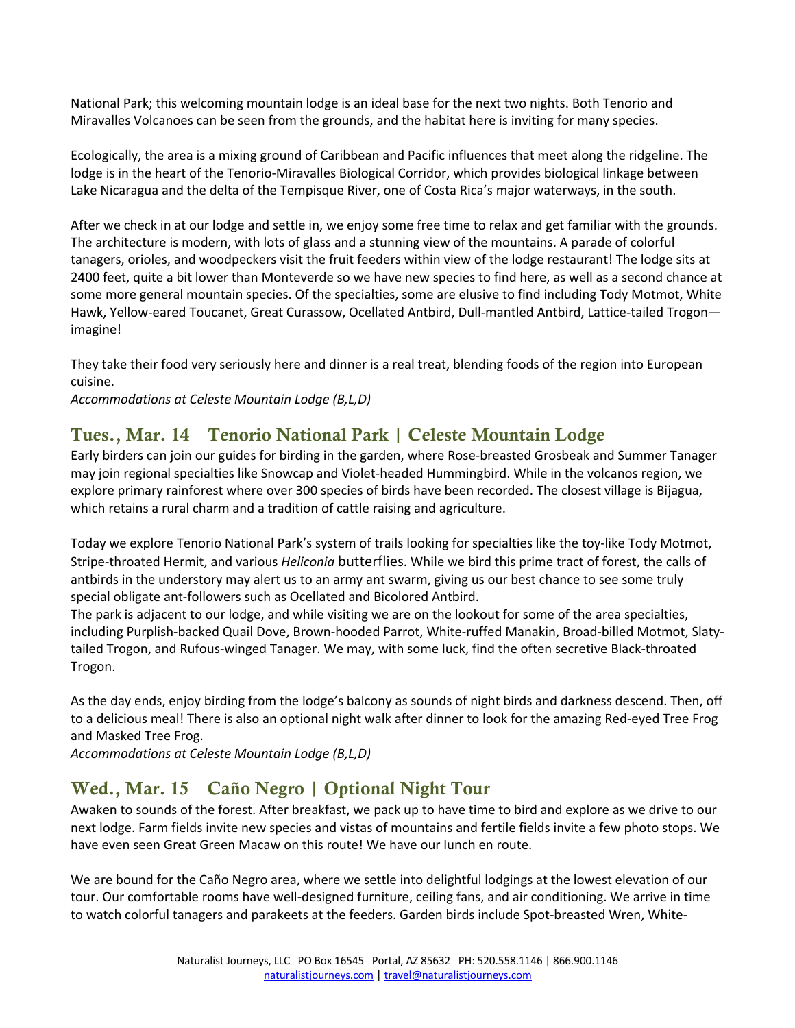National Park; this welcoming mountain lodge is an ideal base for the next two nights. Both Tenorio and Miravalles Volcanoes can be seen from the grounds, and the habitat here is inviting for many species.

Ecologically, the area is a mixing ground of Caribbean and Pacific influences that meet along the ridgeline. The lodge is in the heart of the Tenorio-Miravalles Biological Corridor, which provides biological linkage between Lake Nicaragua and the delta of the Tempisque River, one of Costa Rica's major waterways, in the south.

After we check in at our lodge and settle in, we enjoy some free time to relax and get familiar with the grounds. The architecture is modern, with lots of glass and a stunning view of the mountains. A parade of colorful tanagers, orioles, and woodpeckers visit the fruit feeders within view of the lodge restaurant! The lodge sits at 2400 feet, quite a bit lower than Monteverde so we have new species to find here, as well as a second chance at some more general mountain species. Of the specialties, some are elusive to find including Tody Motmot, White Hawk, Yellow-eared Toucanet, Great Curassow, Ocellated Antbird, Dull-mantled Antbird, Lattice-tailed Trogon imagine!

They take their food very seriously here and dinner is a real treat, blending foods of the region into European cuisine.

*Accommodations at Celeste Mountain Lodge (B,L,D)* 

## Tues., Mar. 14 Tenorio National Park | Celeste Mountain Lodge

Early birders can join our guides for birding in the garden, where Rose-breasted Grosbeak and Summer Tanager may join regional specialties like Snowcap and Violet-headed Hummingbird. While in the volcanos region, we explore primary rainforest where over 300 species of birds have been recorded. The closest village is Bijagua, which retains a rural charm and a tradition of cattle raising and agriculture.

Today we explore Tenorio National Park's system of trails looking for specialties like the toy-like Tody Motmot, Stripe-throated Hermit, and various *Heliconia* butterflies. While we bird this prime tract of forest, the calls of antbirds in the understory may alert us to an army ant swarm, giving us our best chance to see some truly special obligate ant-followers such as Ocellated and Bicolored Antbird.

The park is adjacent to our lodge, and while visiting we are on the lookout for some of the area specialties, including Purplish-backed Quail Dove, Brown-hooded Parrot, White-ruffed Manakin, Broad-billed Motmot, Slatytailed Trogon, and Rufous-winged Tanager. We may, with some luck, find the often secretive Black-throated Trogon.

As the day ends, enjoy birding from the lodge's balcony as sounds of night birds and darkness descend. Then, off to a delicious meal! There is also an optional night walk after dinner to look for the amazing Red-eyed Tree Frog and Masked Tree Frog.

*Accommodations at Celeste Mountain Lodge (B,L,D)* 

### Wed., Mar. 15 Caño Negro | Optional Night Tour

Awaken to sounds of the forest. After breakfast, we pack up to have time to bird and explore as we drive to our next lodge. Farm fields invite new species and vistas of mountains and fertile fields invite a few photo stops. We have even seen Great Green Macaw on this route! We have our lunch en route.

We are bound for the Caño Negro area, where we settle into delightful lodgings at the lowest elevation of our tour. Our comfortable rooms have well-designed furniture, ceiling fans, and air conditioning. We arrive in time to watch colorful tanagers and parakeets at the feeders. Garden birds include Spot-breasted Wren, White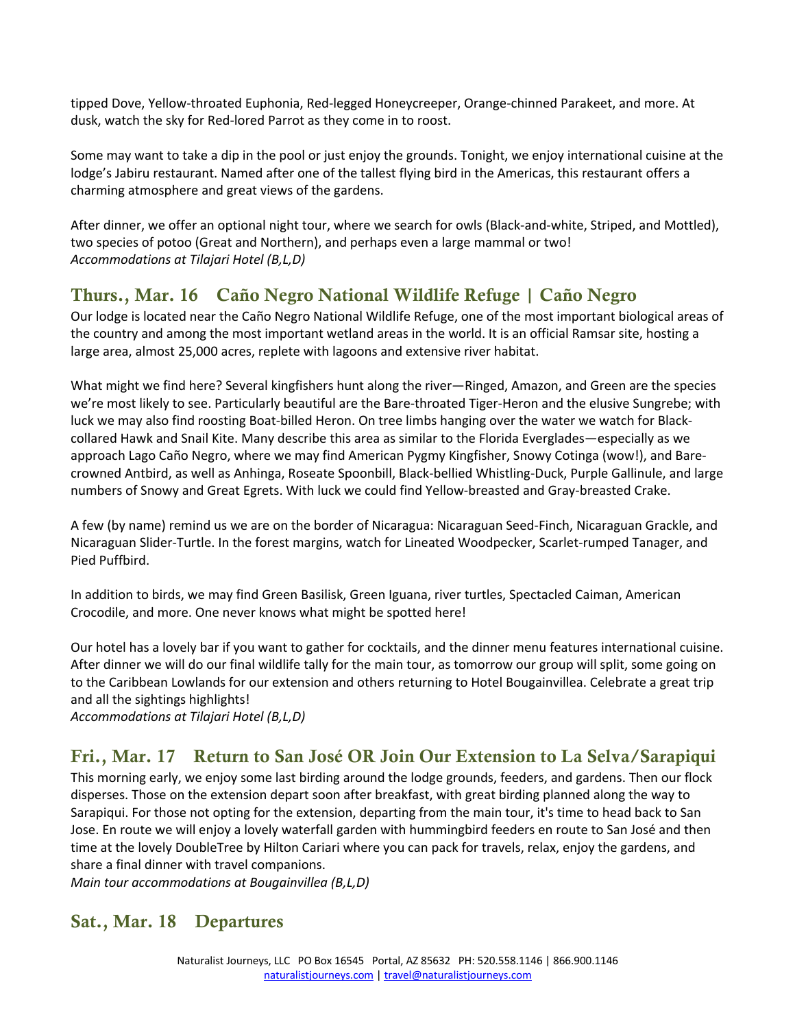tipped Dove, Yellow-throated Euphonia, Red-legged Honeycreeper, Orange-chinned Parakeet, and more. At dusk, watch the sky for Red-lored Parrot as they come in to roost.

Some may want to take a dip in the pool or just enjoy the grounds. Tonight, we enjoy international cuisine at the lodge's Jabiru restaurant. Named after one of the tallest flying bird in the Americas, this restaurant offers a charming atmosphere and great views of the gardens.

After dinner, we offer an optional night tour, where we search for owls (Black-and-white, Striped, and Mottled), two species of potoo (Great and Northern), and perhaps even a large mammal or two! *Accommodations at Tilajari Hotel (B,L,D)* 

## Thurs., Mar. 16 Caño Negro National Wildlife Refuge | Caño Negro

Our lodge is located near the Caño Negro National Wildlife Refuge, one of the most important biological areas of the country and among the most important wetland areas in the world. It is an official Ramsar site, hosting a large area, almost 25,000 acres, replete with lagoons and extensive river habitat.

What might we find here? Several kingfishers hunt along the river—Ringed, Amazon, and Green are the species we're most likely to see. Particularly beautiful are the Bare-throated Tiger-Heron and the elusive Sungrebe; with luck we may also find roosting Boat-billed Heron. On tree limbs hanging over the water we watch for Blackcollared Hawk and Snail Kite. Many describe this area as similar to the Florida Everglades—especially as we approach Lago Caño Negro, where we may find American Pygmy Kingfisher, Snowy Cotinga (wow!), and Barecrowned Antbird, as well as Anhinga, Roseate Spoonbill, Black-bellied Whistling-Duck, Purple Gallinule, and large numbers of Snowy and Great Egrets. With luck we could find Yellow-breasted and Gray-breasted Crake.

A few (by name) remind us we are on the border of Nicaragua: Nicaraguan Seed-Finch, Nicaraguan Grackle, and Nicaraguan Slider-Turtle. In the forest margins, watch for Lineated Woodpecker, Scarlet-rumped Tanager, and Pied Puffbird.

In addition to birds, we may find Green Basilisk, Green Iguana, river turtles, Spectacled Caiman, American Crocodile, and more. One never knows what might be spotted here!

Our hotel has a lovely bar if you want to gather for cocktails, and the dinner menu features international cuisine. After dinner we will do our final wildlife tally for the main tour, as tomorrow our group will split, some going on to the Caribbean Lowlands for our extension and others returning to Hotel Bougainvillea. Celebrate a great trip and all the sightings highlights!

*Accommodations at Tilajari Hotel (B,L,D)* 

## Fri., Mar. 17 Return to San José OR Join Our Extension to La Selva/Sarapiqui

This morning early, we enjoy some last birding around the lodge grounds, feeders, and gardens. Then our flock disperses. Those on the extension depart soon after breakfast, with great birding planned along the way to Sarapiqui. For those not opting for the extension, departing from the main tour, it's time to head back to San Jose. En route we will enjoy a lovely waterfall garden with hummingbird feeders en route to San José and then time at the lovely DoubleTree by Hilton Cariari where you can pack for travels, relax, enjoy the gardens, and share a final dinner with travel companions.

*Main tour accommodations at Bougainvillea (B,L,D)*

#### Sat., Mar. 18 Departures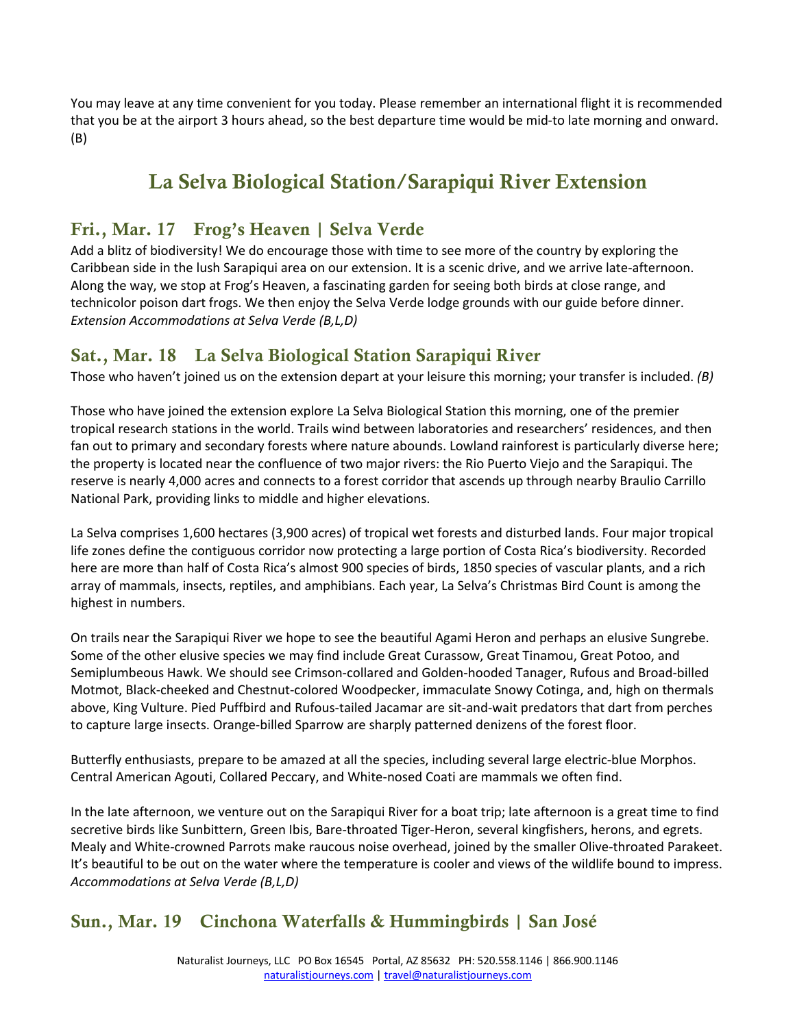You may leave at any time convenient for you today. Please remember an international flight it is recommended that you be at the airport 3 hours ahead, so the best departure time would be mid-to late morning and onward. (B)

# La Selva Biological Station/Sarapiqui River Extension

### Fri., Mar. 17 Frog's Heaven | Selva Verde

Add a blitz of biodiversity! We do encourage those with time to see more of the country by exploring the Caribbean side in the lush Sarapiqui area on our extension. It is a scenic drive, and we arrive late-afternoon. Along the way, we stop at Frog's Heaven, a fascinating garden for seeing both birds at close range, and technicolor poison dart frogs. We then enjoy the Selva Verde lodge grounds with our guide before dinner. *Extension Accommodations at Selva Verde (B,L,D)* 

### Sat., Mar. 18 La Selva Biological Station Sarapiqui River

Those who haven't joined us on the extension depart at your leisure this morning; your transfer is included. *(B)*

Those who have joined the extension explore La Selva Biological Station this morning, one of the premier tropical research stations in the world. Trails wind between laboratories and researchers' residences, and then fan out to primary and secondary forests where nature abounds. Lowland rainforest is particularly diverse here; the property is located near the confluence of two major rivers: the Rio Puerto Viejo and the Sarapiqui. The reserve is nearly 4,000 acres and connects to a forest corridor that ascends up through nearby Braulio Carrillo National Park, providing links to middle and higher elevations.

La Selva comprises 1,600 hectares (3,900 acres) of tropical wet forests and disturbed lands. Four major tropical life zones define the contiguous corridor now protecting a large portion of Costa Rica's biodiversity. Recorded here are more than half of Costa Rica's almost 900 species of birds, 1850 species of vascular plants, and a rich array of mammals, insects, reptiles, and amphibians. Each year, La Selva's Christmas Bird Count is among the highest in numbers.

On trails near the Sarapiqui River we hope to see the beautiful Agami Heron and perhaps an elusive Sungrebe. Some of the other elusive species we may find include Great Curassow, Great Tinamou, Great Potoo, and Semiplumbeous Hawk. We should see Crimson-collared and Golden-hooded Tanager, Rufous and Broad-billed Motmot, Black-cheeked and Chestnut-colored Woodpecker, immaculate Snowy Cotinga, and, high on thermals above, King Vulture. Pied Puffbird and Rufous-tailed Jacamar are sit-and-wait predators that dart from perches to capture large insects. Orange-billed Sparrow are sharply patterned denizens of the forest floor.

Butterfly enthusiasts, prepare to be amazed at all the species, including several large electric-blue Morphos. Central American Agouti, Collared Peccary, and White-nosed Coati are mammals we often find.

In the late afternoon, we venture out on the Sarapiqui River for a boat trip; late afternoon is a great time to find secretive birds like Sunbittern, Green Ibis, Bare-throated Tiger-Heron, several kingfishers, herons, and egrets. Mealy and White-crowned Parrots make raucous noise overhead, joined by the smaller Olive-throated Parakeet. It's beautiful to be out on the water where the temperature is cooler and views of the wildlife bound to impress. *Accommodations at Selva Verde (B,L,D)* 

### Sun., Mar. 19 Cinchona Waterfalls & Hummingbirds | San José